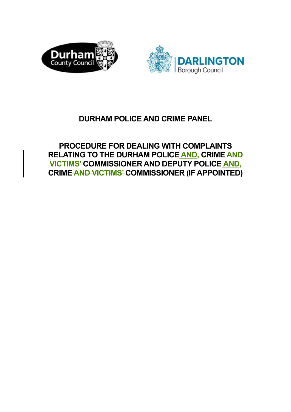



# **DURHAM POLICE AND CRIME PANEL**

**PROCEDURE FOR DEALING WITH COMPLAINTS RELATING TO THE DURHAM POLICE AND, CRIME AND VICTIMS' COMMISSIONER AND DEPUTY POLICE AND, CRIME AND VICTIMS' COMMISSIONER (IF APPOINTED)**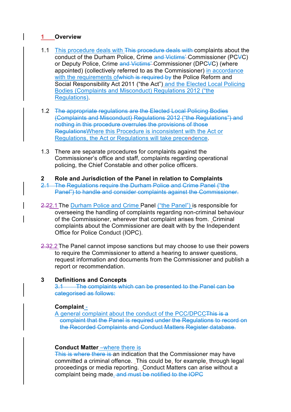# **1 Overview**

- 1.1 This procedure deals with This procedure deals with complaints about the conduct of the Durham Police, Crime and Victims' Commissioner (PCVC) or Deputy Police, Crime and Victims'-Commissioner (DPCVC) (where appointed) (collectively referred to as the Commissioner) in accordance with the requirements of which is required by the Police Reform and Social Responsibility Act 2011 ("the Act") and the Elected Local Policing Bodies (Complaints and Misconduct) Regulations 2012 ("the Regulations).
- 1.2 The appropriate regulations are the Elected Local Policing Bodies (Complaints and Misconduct) Regulations 2012 ("the Regulations") and nothing in this procedure overrules the provisions of those RegulationsWhere this Procedure is inconsistent with the Act or Regulations, the Act or Regulations will take precendence.
- 1.3 There are separate procedures for complaints against the Commissioner's office and staff, complaints regarding operational policing, the Chief Constable and other police officers.
- **2 Role and Jurisdiction of the Panel in relation to Complaints**
- 2.1 The Regulations require the Durham Police and Crime Panel ("the Panel") to handle and consider complaints against the Commissioner.
- 2.22.1 The Durham Police and Crime Panel ("the Panel") is responsible for overseeing the handling of complaints regarding non-criminal behaviour of the Commissioner, wherever that complaint arises from. Criminal complaints about the Commissioner are dealt with by the Independent Office for Police Conduct (IOPC).
- 2.32.2 The Panel cannot impose sanctions but may choose to use their powers to require the Commissioner to attend a hearing to answer questions, request information and documents from the Commissioner and publish a report or recommendation.

# **3 Definitions and Concepts**

3.1 The complaints which can be presented to the Panel can be categorised as follows:

# **Complaint** -

A general complaint about the conduct of the PCC/DPCCThis is a complaint that the Panel is required under the Regulations to record on the Recorded Complaints and Conduct Matters Register database.

## **Conduct Matter** –where there is

This is where there is an indication that the Commissioner may have committed a criminal offence. This could be, for example, through legal proceedings or media reporting. Conduct Matters can arise without a complaint being made. and must be notified to the IOPC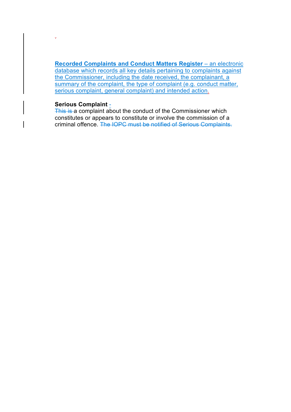**Recorded Complaints and Conduct Matters Register** – an electronic database which records all key details pertaining to complaints against the Commissioner, including the date received, the complainant, a summary of the complaint, the type of complaint (e.g. conduct matter, serious complaint, general complaint) and intended action.

#### **Serious Complaint** -

.

This is a complaint about the conduct of the Commissioner which constitutes or appears to constitute or involve the commission of a criminal offence. The IOPC must be notified of Serious Complaints.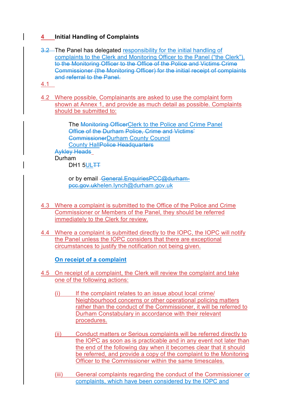# **4 Initial Handling of Complaints**

- 3.2 The Panel has delegated responsibility for the initial handling of complaints to the Clerk and Monitoring Officer to the Panel ("the Clerk"). to the Monitoring Officer to the Office of the Police and Victims Crime Commissioner (the Monitoring Officer) for the initial receipt of complaints and referral to the Panel.
- 4.1
- 4.2 Where possible, Complainants are asked to use the complaint form shown at Annex 1, and provide as much detail as possible. Complaints should be submitted to:

The Monitoring OfficerClerk to the Police and Crime Panel Office of the Durham Police, Crime and Victims' CommissionerDurham County Council **County Hall<del>Police Headquarters</del>** Aykley Heads Durham

DH1 5UL<del>TT</del>

or by email - General. Enquiries PCC@durhampcc.gov.ukhelen.lynch@durham.gov.uk

- 4.3 Where a complaint is submitted to the Office of the Police and Crime Commissioner or Members of the Panel, they should be referred immediately to the Clerk for review.
- 4.4 Where a complaint is submitted directly to the IOPC, the IOPC will notify the Panel unless the IOPC considers that there are exceptional circumstances to justify the notification not being given.

# **On receipt of a complaint**

- 4.5 On receipt of a complaint, the Clerk will review the complaint and take one of the following actions:
	- $(i)$  If the complaint relates to an issue about local crime/ Neighbourhood concerns or other operational policing matters rather than the conduct of the Commissioner, it will be referred to Durham Constabulary in accordance with their relevant procedures.
	- (ii) Conduct matters or Serious complaints will be referred directly to the IOPC as soon as is practicable and in any event not later than the end of the following day when it becomes clear that it should be referred, and provide a copy of the complaint to the Monitoring Officer to the Commissioner within the same timescales.
	- (iii) General complaints regarding the conduct of the Commissioner or complaints, which have been considered by the IOPC and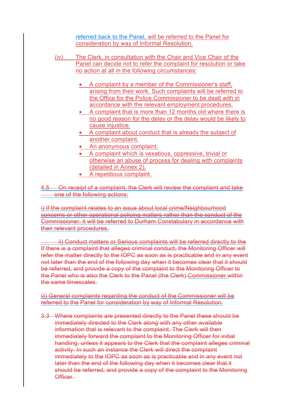referred back to the Panel, will be referred to the Panel for consideration by way of Informal Resolution.

- (iv) The Clerk, in consultation with the Chair and Vice Chair of the Panel can decide not to refer the complaint for resolution or take no action at all in the following circumstances:
	- A complaint by a member of the Commissioner's staff, arising from their work. Such complaints will be referred to the Office for the Police Commissioner to be dealt with in accordance with the relevant employment procedures.
	- A complaint that is more than 12 months old where there is no good reason for the delay or the delay would be likely to cause injustice.
	- A complaint about conduct that is already the subject of another complaint.
	- An anonymous complaint.
	- A complaint which is vexatious, oppressive, trivial or otherwise an abuse of process for dealing with complaints (detailed in Annex 2).
	- A repetitious complaint.

4.5 On receipt of a complaint, the Clerk will review the complaint and take **Consume of the following actions:** 

i) If the complaint relates to an issue about local crime/Neighbourhood concerns or other operational policing matters rather than the conduct of the Commissioner, it will be referred to Durham Constabulary in accordance with their relevant procedures.

 ii) Conduct matters or Serious complaints will be referred directly to the If there is a complaint that alleges criminal conduct, the Monitoring Officer will refer the matter directly to the IOPC as soon as is practicable and in any event not later than the end of the following day when it becomes clear that it should be referred, and provide a copy of the complaint to the Monitoring Officer to the Panel who is also the Clerk to the Panel (the Clerk) Commissioner within the same timescales.

iii) General complaints regarding the conduct of the Commissioner will be referred to the Panel for consideration by way of Informal Resolution.

3.3 Where complaints are presented directly to the Panel these should be immediately directed to the Clerk along with any other available information that is relevant to the complaint. The Clerk will then immediately forward the complaint to the Monitoring Officer for initial handling, unless it appears to the Clerk that the complaint alleges criminal activity. In such an instance the Clerk will direct the complaint immediately to the IOPC as soon as is practicable and in any event not later than the end of the following day when it becomes clear that it should be referred, and provide a copy of the complaint to the Monitoring **Officer**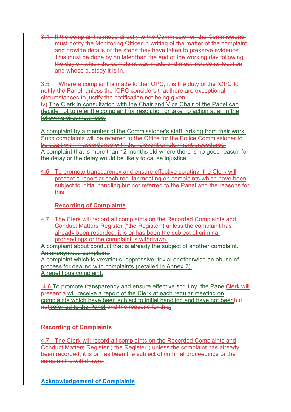3.4 If the complaint is made directly to the Commissioner, the Commissioner must notify the Monitoring Officer in writing of the matter of the complaint and provide details of the steps they have taken to preserve evidence. This must be done by no later than the end of the working day following the day on which the complaint was made and must include its location and whose custody it is in.

3.5 Where a complaint is made to the IOPC, it is the duty of the IOPC to notify the Panel, unless the IOPC considers that there are exceptional circumstances to justify the notification not being given. iv) The Clerk in consultation with the Chair and Vice Chair of the Panel can decide not to refer the complaint for resolution or take no action at all in the following circumstances:

A complaint by a member of the Commissioner's staff, arising from their work. Such complaints will be referred to the Office for the Police Commissioner to be dealt with in accordance with the relevant employment procedures. A complaint that is more than 12 months old where there is no good reason for the delay or the delay would be likely to cause injustice.

4.6 To promote transparency and ensure effective scrutiny, the Clerk will present a report at each regular meeting on complaints which have been subject to initial handling but not referred to the Panel and the reasons for this.

# **Recording of Complaints**

4.7 The Clerk will record all complaints on the Recorded Complaints and Conduct Matters Register ("the Register") unless the complaint has already been recorded, it is or has been the subject of criminal proceedings or the complaint is withdrawn.

A complaint about conduct that is already the subject of another complaint. An anonymous complaint.

A complaint which is vexatious, oppressive, trivial or otherwise an abuse of process for dealing with complaints (detailed in Annex 2). A repetitious complaint.

 4.6 To promote transparency and ensure effective scrutiny, the PanelClerk will present a will receive a report of the Clerk at each regular meeting on complaints which have been subject to initial handling and have not beenbut not referred to the Panel and the reasons for this.

# **Recording of Complaints**

4.7 The Clerk will record all complaints on the Recorded Complaints and Conduct Matters Register ("the Register") unless the complaint has already been recorded, it is or has been the subject of criminal proceedings or the complaint is withdrawn.

**Acknowledgement of Complaints**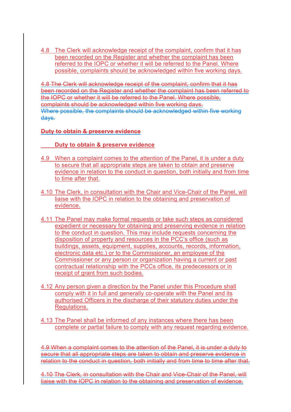4.8 The Clerk will acknowledge receipt of the complaint, confirm that it has been recorded on the Register and whether the complaint has been referred to the IOPC or whether it will be referred to the Panel. Where possible, complaints should be acknowledged within five working days.

4.8 The Clerk will acknowledge receipt of the complaint, confirm that it has been recorded on the Register and whether the complaint has been referred to the IOPC or whether it will be referred to the Panel. Where possible, complaints should be acknowledged within five working days. Where possible, the complaints should be acknowledged within five working days.

# **Duty to obtain & preserve evidence**

 **Duty to obtain & preserve evidence** 

- 4.9 When a complaint comes to the attention of the Panel, it is under a duty to secure that all appropriate steps are taken to obtain and preserve evidence in relation to the conduct in question, both initially and from time to time after that.
- 4.10 The Clerk, in consultation with the Chair and Vice-Chair of the Panel, will liaise with the IOPC in relation to the obtaining and preservation of evidence.
- 4.11 The Panel may make formal requests or take such steps as considered expedient or necessary for obtaining and preserving evidence in relation to the conduct in question. This may include requests concerning the disposition of property and resources in the PCC's office (such as buildings, assets, equipment, supplies, accounts, records, information, electronic data etc.) or to the Commissioner, an employee of the Commissioner or any person or organization having a current or past contractual relationship with the PCCs office, its predecessors or in receipt of grant from such bodies.
- 4.12 Any person given a direction by the Panel under this Procedure shall comply with it in full and generally co-operate with the Panel and its authorised Officers in the discharge of their statutory duties under the Regulations.
- 4.13 The Panel shall be informed of any instances where there has been complete or partial failure to comply with any request regarding evidence.

4.9 When a complaint comes to the attention of the Panel, it is under a duty to secure that all appropriate steps are taken to obtain and preserve evidence in relation to the conduct in question, both initially and from time to time after that.

4.10 The Clerk, in consultation with the Chair and Vice-Chair of the Panel, will liaise with the IOPC in relation to the obtaining and preservation of evidence.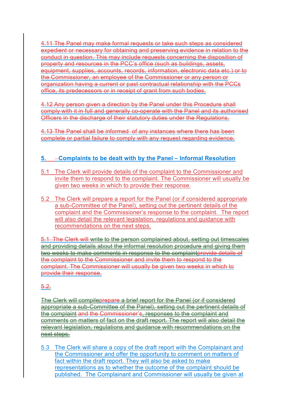4.11 The Panel may make formal requests or take such steps as considered expedient or necessary for obtaining and preserving evidence in relation to the conduct in question. This may include requests concerning the disposition of property and resources in the PCC's office (such as buildings, assets, equipment, supplies, accounts, records, information, electronic data etc.) or to the Commissioner, an employee of the Commissioner or any person or organization having a current or past contractual relationship with the PCCs office, its predecessors or in receipt of grant from such bodies.

4.12 Any person given a direction by the Panel under this Procedure shall comply with it in full and generally co-operate with the Panel and its authorised Officers in the discharge of their statutory duties under the Regulations.

4.13 The Panel shall be informed of any instances where there has been complete or partial failure to comply with any request regarding evidence.

# **5. Complaints to be dealt with by the Panel – Informal Resolution**

- 5.1 The Clerk will provide details of the complaint to the Commissioner and invite them to respond to the complaint. The Commissioner will usually be given two weeks in which to provide their response.
- 5.2 The Clerk will prepare a report for the Panel (or if considered appropriate a sub-Committee of the Panel), setting out the pertinent details of the complaint and the Commissioner's response to the complaint. The report will also detail the relevant legislation, regulations and guidance with recommendations on the next steps.

5.1 The Clerk will write to the person complained about, setting out timescales and providing details about the informal resolution procedure and giving them two weeks to make comments in response to the complaintprovide details of the complaint to the Commissioner and invite them to respond to the complaint. The Commissioner will usually be given two weeks in which to provide their response.

# 5.2.

The Clerk will compileprepare a brief report for the Panel (or if considered appropriate a sub-Committee of the Panel), setting out the pertinent details of the complaint and the Commissioner's, responses to the complaint and comments on matters of fact on the draft report. The report will also detail the relevant legislation, regulations and guidance with recommendations on the next steps.

5.3 The Clerk will share a copy of the draft report with the Complainant and the Commissioner and offer the opportunity to comment on matters of fact within the draft report. They will also be asked to make representations as to whether the outcome of the complaint should be published. The Complainant and Commissioner will usually be given at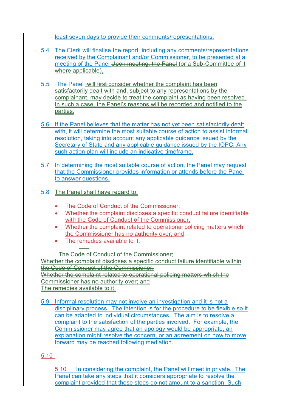least seven days to provide their comments/representations.

- 5.4 The Clerk will finalise the report, including any comments/representations received by the Complainant and/or Commissioner, to be presented at a meeting of the Panel Upon meeting, the Panel (or a Sub-Committee of it where applicable).
- 5.5 The Panel will first consider whether the complaint has been satisfactorily dealt with and, subject to any representations by the complainant, may decide to treat the complaint as having been resolved. In such a case, the Panel's reasons will be recorded and notified to the parties.
- 5.6 If the Panel believes that the matter has not yet been satisfactorily dealt with, it will determine the most suitable course of action to assist informal resolution, taking into account any applicable guidance issued by the Secretary of State and any applicable guidance issued by the IOPC. Any such action plan will include an indicative timeframe.
- 5.7 In determining the most suitable course of action, the Panel may request that the Commissioner provides information or attends before the Panel to answer questions.
- 5.8 The Panel shall have regard to:
	- The Code of Conduct of the Commissioner;
	- Whether the complaint discloses a specific conduct failure identifiable with the Code of Conduct of the Commissioner;
	- Whether the complaint related to operational policing matters which the Commissioner has no authority over; and
	- The remedies available to it.

 $\frac{1}{2}$ The Code of Conduct of the Commissioner:

Whether the complaint discloses a specific conduct failure identifiable within the Code of Conduct of the Commissioner; Whether the complaint related to operational policing matters which the Commissioner has no authority over; and

The remedies available to it.

5.9 Informal resolution may not involve an investigation and it is not a disciplinary process. The intention is for the procedure to be flexible so it can be adapted to individual circumstances. The aim is to resolve a complaint to the satisfaction of the parties involved. For example, the Commissioner may agree that an apology would be appropriate, an explanation might resolve the concern, or an agreement on how to move forward may be reached following mediation.

# 5.10

5.10 In considering the complaint, the Panel will meet in private. The Panel can take any steps that it considers appropriate to resolve the complaint provided that those steps do not amount to a sanction. Such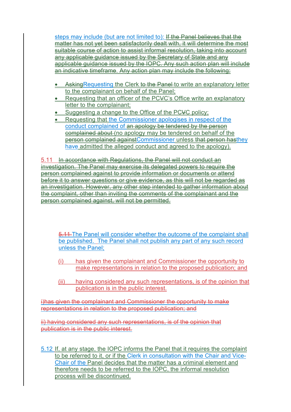steps may include (but are not limited to): If the Panel believes that the matter has not yet been satisfactorily dealt with, it will determine the most suitable course of action to assist informal resolution, taking into account any applicable guidance issued by the Secretary of State and any applicable guidance issued by the IOPC. Any such action plan will include an indicative timeframe. Any action plan may include the following:

- Asking Requesting the Clerk to the Panel to write an explanatory letter to the complainant on behalf of the Panel;
- Requesting that an officer of the PCVC's Office write an explanatory letter to the complainant;
- Suggesting a change to the Office of the PCVC policy;
- Requesting that the Commissioner apologises in respect of the conduct complained of an apology be tendered by the person complained about (no apology may be tendered on behalf of the person complained againstCommissioner unless that person hasthey have admitted the alleged conduct and agreed to the apology).

5.11 In accordance with Regulations, the Panel will not conduct an investigation. The Panel may exercise its delegated powers to require the person complained against to provide information or documents or attend before it to answer questions or give evidence, as this will not be regarded as an investigation. However, any other step intended to gather information about the complaint, other than inviting the comments of the complainant and the person complained against, will not be permitted.

5.11 The Panel will consider whether the outcome of the complaint shall be published. The Panel shall not publish any part of any such record unless the Panel;

- (i) has given the complainant and Commissioner the opportunity to make representations in relation to the proposed publication; and
- (ii) having considered any such representations, is of the opinion that publication is in the public interest.

i)has given the complainant and Commissioner the opportunity to make representations in relation to the proposed publication; and

ii) having considered any such representations, is of the opinion that publication is in the public interest.

5.12 If, at any stage, the IOPC informs the Panel that it requires the complaint to be referred to it, or if the Clerk in consultation with the Chair and Vice-Chair of the Panel decides that the matter has a criminal element and therefore needs to be referred to the IOPC, the informal resolution process will be discontinued.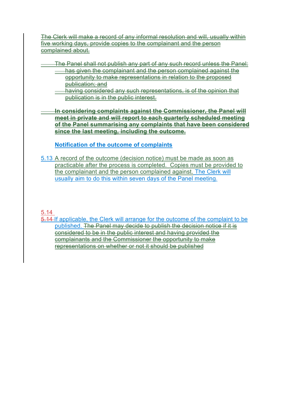The Clerk will make a record of any informal resolution and will, usually within five working days, provide copies to the complainant and the person complained about.

- The Panel shall not publish any part of any such record unless the Panel:
	- **has given the complainant and the person complained against the** opportunity to make representations in relation to the proposed publication; and
		- having considered any such representations, is of the opinion that publication is in the public interest.

 **In considering complaints against the Commissioner, the Panel will meet in private and will report to each quarterly scheduled meeting of the Panel summarising any complaints that have been considered since the last meeting, including the outcome.** 

**Notification of the outcome of complaints** 

5.13 A record of the outcome (decision notice) must be made as soon as practicable after the process is completed. Copies must be provided to the complainant and the person complained against. The Clerk will usually aim to do this within seven days of the Panel meeting.

# 5.14

5.14 If applicable, the Clerk will arrange for the outcome of the complaint to be published. The Panel may decide to publish the decision notice if it is considered to be in the public interest and having provided the complainants and the Commissioner the opportunity to make representations on whether or not it should be published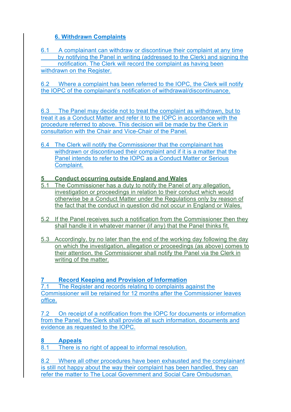# **6. Withdrawn Complaints**

6.1 A complainant can withdraw or discontinue their complaint at any time by notifying the Panel in writing (addressed to the Clerk) and signing the notification. The Clerk will record the complaint as having been withdrawn on the Register.

6.2 Where a complaint has been referred to the IOPC, the Clerk will notify the IOPC of the complainant's notification of withdrawal/discontinuance.

6.3 The Panel may decide not to treat the complaint as withdrawn, but to treat it as a Conduct Matter and refer it to the IOPC in accordance with the procedure referred to above. This decision will be made by the Clerk in consultation with the Chair and Vice-Chair of the Panel.

6.4 The Clerk will notify the Commissioner that the complainant has withdrawn or discontinued their complaint and if it is a matter that the Panel intends to refer to the IOPC as a Conduct Matter or Serious Complaint.

# **5 Conduct occurring outside England and Wales**

- 5.1 The Commissioner has a duty to notify the Panel of any allegation, investigation or proceedings in relation to their conduct which would otherwise be a Conduct Matter under the Regulations only by reason of the fact that the conduct in question did not occur in England or Wales.
- 5.2 If the Panel receives such a notification from the Commissioner then they shall handle it in whatever manner (if any) that the Panel thinks fit.
- 5.3 Accordingly, by no later than the end of the working day following the day on which the investigation, allegation or proceedings (as above) comes to their attention, the Commissioner shall notify the Panel via the Clerk in writing of the matter.

# **7 Record Keeping and Provision of Information**

7.1 The Register and records relating to complaints against the Commissioner will be retained for 12 months after the Commissioner leaves office.

7.2 On receipt of a notification from the IOPC for documents or information from the Panel, the Clerk shall provide all such information, documents and evidence as requested to the IOPC.

# **8 Appeals**

8.1 There is no right of appeal to informal resolution.

8.2 Where all other procedures have been exhausted and the complainant is still not happy about the way their complaint has been handled, they can refer the matter to The Local Government and Social Care Ombudsman.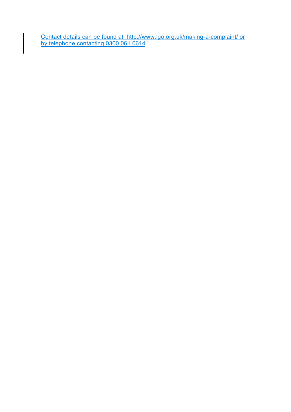Contact details can be found at http://www.lgo.org.uk/making-a-complaint/ or by telephone contacting 0300 061 0614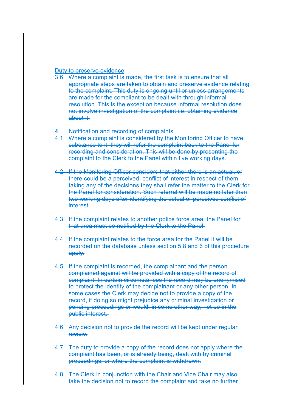#### Duty to preserve evidence

3.6 Where a complaint is made, the first task is to ensure that all appropriate steps are taken to obtain and preserve evidence relating to the complaint. This duty is ongoing until or unless arrangements are made for the compliant to be dealt with through informal resolution. This is the exception because informal resolution does not involve investigation of the complaint i.e. obtaining evidence about it.

#### **4** Notification and recording of complaints

- 4.1 Where a complaint is considered by the Monitoring Officer to have substance to it, they will refer the complaint back to the Panel for recording and consideration. This will be done by presenting the complaint to the Clerk to the Panel within five working days.
- 4.2 If the Monitoring Officer considers that either there is an actual, or there could be a perceived, conflict of interest in respect of them taking any of the decisions they shall refer the matter to the Clerk for the Panel for consideration. Such referral will be made no later than two working days after identifying the actual or perceived conflict of interest.
- 4.3 If the complaint relates to another police force area, the Panel for that area must be notified by the Clerk to the Panel.
- 4.4 If the complaint relates to the force area for the Panel it will be recorded on the database unless section 5.8 and 6 of this procedure apply.
- 4.5 If the complaint is recorded, the complainant and the person complained against will be provided with a copy of the record of complaint. In certain circumstances the record may be anonymised to protect the identity of the complainant or any other person. In some cases the Clerk may decide not to provide a copy of the record, if doing so might prejudice any criminal investigation or pending proceedings or would, in some other way, not be in the public interest.
- 4.6 Any decision not to provide the record will be kept under regular review.
- 4.7 The duty to provide a copy of the record does not apply where the complaint has been, or is already being, dealt with by criminal proceedings, or where the complaint is withdrawn.
- 4.8 The Clerk in conjunction with the Chair and Vice Chair may also take the decision not to record the complaint and take no further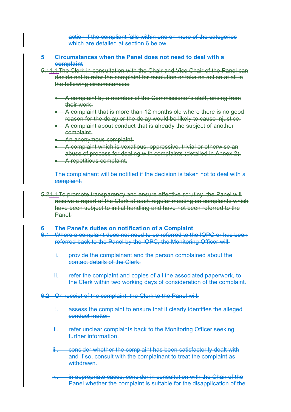action if the compliant falls within one on more of the categories which are detailed at section 6 below-

#### **5 Circumstances when the Panel does not need to deal with a complaint**

- 5.11.1 The Clerk in consultation with the Chair and Vice Chair of the Panel can decide not to refer the complaint for resolution or take no action at all in the following circumstances:
	- A complaint by a member of the Commissioner's staff, arising from their work.
	- A complaint that is more than 12 months old where there is no good reason for the delay or the delay would be likely to cause injustice.
	- **A** complaint about conduct that is already the subject of another complaint.
	- **An anonymous complaint.**
	- A complaint which is vexatious, oppressive, trivial or otherwise an abuse of process for dealing with complaints (detailed in Annex 2).
	- **A** repetitious complaint.

The complainant will be notified if the decision is taken not to deal with a complaint.

5.21.1 To promote transparency and ensure effective scrutiny, the Panel will receive a report of the Clerk at each regular meeting on complaints which have been subject to initial handling and have not been referred to the Panel.

#### **The Panel's duties on notification of a Complaint**

- 6.1 Where a complaint does not need to be referred to the IOPC or has been referred back to the Panel by the IOPC, the Monitoring Officer will:
	- **i.** provide the complainant and the person complained about the contact details of the Clerk.
	- ii. refer the complaint and copies of all the associated paperwork, to the Clerk within two working days of consideration of the complaint.
- 6.2 On receipt of the complaint, the Clerk to the Panel will:
	- i. assess the complaint to ensure that it clearly identifies the alleged conduct matter.
	- **Frefer unclear complaints back to the Monitoring Officer seeking** further information.
	- iii. consider whether the complaint has been satisfactorily dealt with and if so, consult with the complainant to treat the complaint as withdrawn.
	- iv. in appropriate cases, consider in consultation with the Chair of the Panel whether the complaint is suitable for the disapplication of the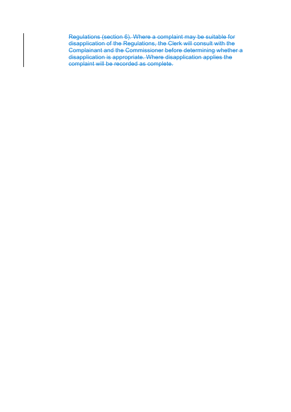Regulations (section 6). Where a complaint may be suitable for disapplication of the Regulations, the Clerk will consult with the Complainant and the Commissioner before determining whether a disapplication is appropriate. Where disapplication applies the complaint will be recorded as complete.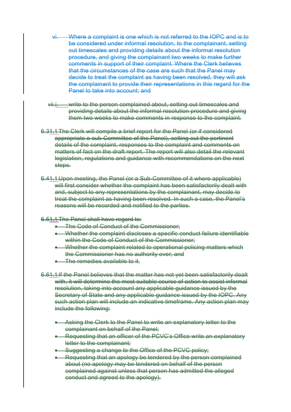- vi. Where a complaint is one which is not referred to the IOPC and is to be considered under informal resolution, to the complainant, setting out timescales and providing details about the informal resolution procedure, and giving the complainant two weeks to make further comments in support of their complaint. Where the Clerk believes that the circumstances of the case are such that the Panel may decide to treat the complaint as having been resolved, they will ask the complainant to provide their representations in this regard for the Panel to take into account: and
- vii.i. write to the person complained about, setting out timescales and providing details about the informal resolution procedure and giving them two weeks to make comments in response to the complaint.
- 6.31.1 The Clerk will compile a brief report for the Panel (or if considered appropriate a sub-Committee of the Panel), setting out the pertinent details of the complaint, responses to the complaint and comments on matters of fact on the draft report. The report will also detail the relevant legislation, regulations and guidance with recommendations on the next steps.
- 6.41.1 Upon meeting, the Panel (or a Sub-Committee of it where applicable) will first consider whether the complaint has been satisfactorily dealt with and, subject to any representations by the complainant, may decide to treat the complaint as having been resolved. In such a case, the Panel's reasons will be recorded and notified to the parties.
- 6.51.1 The Panel shall have regard to:
	- **The Code of Conduct of the Commissioner:**
	- Whether the complaint discloses a specific conduct failure identifiable within the Code of Conduct of the Commissioner:
	- Whether the complaint related to operational policing matters which the Commissioner has no authority over; and
	- The remedies available to it.
- 6.61.1 If the Panel believes that the matter has not yet been satisfactorily dealt with, it will determine the most suitable course of action to assist informal resolution, taking into account any applicable guidance issued by the Secretary of State and any applicable guidance issued by the IOPC. Any such action plan will include an indicative timeframe. Any action plan may include the following:
	- **Asking the Clerk to the Panel to write an explanatory letter to the** complainant on behalf of the Panel;
	- Requesting that an officer of the PCVC's Office write an explanatory letter to the complainant:
	- Suggesting a change to the Office of the PCVC policy;
	- Requesting that an apology be tendered by the person complained about (no apology may be tendered on behalf of the person complained against unless that person has admitted the alleged conduct and agreed to the apology).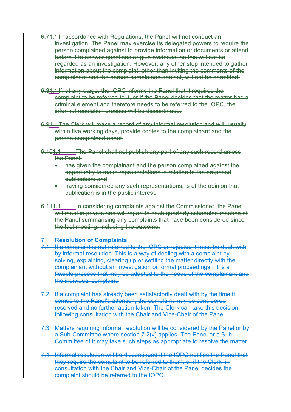- 6.71.1 In accordance with Regulations, the Panel will not conduct an investigation. The Panel may exercise its delegated powers to require the person complained against to provide information or documents or attend before it to answer questions or give evidence, as this will not be regarded as an investigation. However, any other step intended to gather information about the complaint, other than inviting the comments of the complainant and the person complained against, will not be permitted.
- 6.81.1 If, at any stage, the IOPC informs the Panel that it requires the complaint to be referred to it, or if the Panel decides that the matter has a criminal element and therefore needs to be referred to the IOPC, the informal resolution process will be discontinued.
- 6.91.1 The Clerk will make a record of any informal resolution and will, usually within five working days, provide copies to the complainant and the person complained about.
- 6.101.1 The Panel shall not publish any part of any such record unless the Panel:
	- has given the complainant and the person complained against the opportunity to make representations in relation to the proposed publication; and
	- having considered any such representations, is of the opinion that publication is in the public interest.
- 6.111.1 In considering complaints against the Commissioner, the Panel will meet in private and will report to each quarterly scheduled meeting of the Panel summarising any complaints that have been considered since the last meeting, including the outcome.

#### **Resolution of Complaints**

- 7.1 If a complaint is not referred to the IOPC or rejected it must be dealt with by informal resolution. This is a way of dealing with a complaint by solving, explaining, clearing up or settling the matter directly with the complainant without an investigation or formal proceedings. It is a flexible process that may be adapted to the needs of the complainant and the individual complaint.
- 7.2 If a complaint has already been satisfactorily dealt with by the time it comes to the Panel's attention, the complaint may be considered resolved and no further action taken. The Clerk can take this decision following consultation with the Chair and Vice-Chair of the Panel.
- 7.3 Matters requiring informal resolution will be considered by the Panel or by a Sub-Committee where section 7.2(v) applies. The Panel or a Sub-Committee of it may take such steps as appropriate to resolve the matter.
- 7.4 Informal resolution will be discontinued if the IOPC notifies the Panel that they require the complaint to be referred to them, or if the Clerk in consultation with the Chair and Vice-Chair of the Panel decides the complaint should be referred to the IOPC.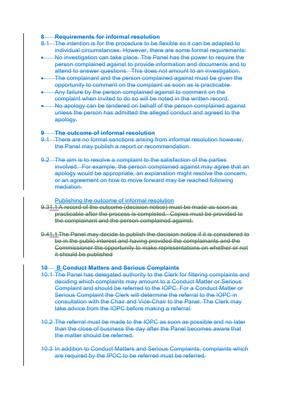#### **8 Requirements for informal resolution**

- 8.1 The intention is for the procedure to be flexible so it can be adapted to individual circumstances. However, there are some formal requirements:
- No investigation can take place. The Panel has the power to require the person complained against to provide information and documents and to attend to answer questions. This does not amount to an investigation.
- The complainant and the person complained against must be given the opportunity to comment on the complaint as soon as is practicable.
- Any failure by the person complained against to comment on the complaint when invited to do so will be noted in the written record.
- No apology can be tendered on behalf of the person complained against unless the person has admitted the alleged conduct and agreed to the apology.

#### **9 The outcome of informal resolution**

- 9.1 There are no formal sanctions arising from informal resolution however, the Panel may publish a report or recommendation.
- 9.2 The aim is to resolve a complaint to the satisfaction of the parties involved. For example, the person complained against may agree that an apology would be appropriate, an explanation might resolve the concern, or an agreement on how to move forward may be reached following mediation.

Publishing the outcome of informal resolution

- 9.31.1 A record of the outcome (decision notice) must be made as soon as practicable after the process is completed. Copies must be provided to the complainant and the person complained against.
- 9.41.1 The Panel may decide to publish the decision notice if it is considered to be in the public interest and having provided the complainants and the Commissioner the opportunity to make representations on whether or not it should be published

#### **10 B Conduct Matters and Serious Complaints**

- 10.1 The Panel has delegated authority to the Clerk for filtering complaints and deciding which complaints may amount to a Conduct Matter or Serious Complaint and should be referred to the IOPC. For a Conduct Matter or Serious Complaint the Clerk will determine the referral to the IOPC in consultation with the Chair and Vice-Chair to the Panel. The Clerk may take advice from the IOPC before making a referral.
- 10.2 The referral must be made to the IOPC as soon as possible and no later than the close of business the day after the Panel becomes aware that the matter should be referred.
- 10.3 In addition to Conduct Matters and Serious Complaints, complaints which are required by the IPOC to be referred must be referred.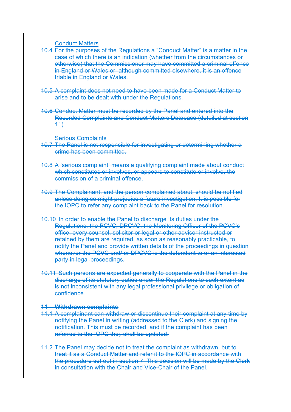Conduct Matters

- 10.4 For the purposes of the Regulations a "Conduct Matter" is a matter in the case of which there is an indication (whether from the circumstances or otherwise) that the Commissioner may have committed a criminal offence in England or Wales or, although committed elsewhere, it is an offence triable in England or Wales.
- 10.5 A complaint does not need to have been made for a Conduct Matter to arise and to be dealt with under the Regulations.
- 10.6 Conduct Matter must be recorded by the Panel and entered into the Recorded Complaints and Conduct Matters Database (detailed at section 11)

Serious Complaints

- 10.7 The Panel is not responsible for investigating or determining whether a crime has been committed.
- 10.8 A 'serious complaint' means a qualifying complaint made about conduct which constitutes or involves, or appears to constitute or involve, the commission of a criminal offence.
- 10.9 The Complainant, and the person complained about, should be notified unless doing so might prejudice a future investigation. It is possible for the IOPC to refer any complaint back to the Panel for resolution.
- 10.10 In order to enable the Panel to discharge its duties under the Regulations, the PCVC, DPCVC, the Monitoring Officer of the PCVC's office, every counsel, solicitor or legal or other advisor instructed or retained by them are required, as soon as reasonably practicable, to notify the Panel and provide written details of the proceedings in question whenever the PCVC and/ or DPCVC is the defendant to or an interested party in legal proceedings.
- 10.11 Such persons are expected generally to cooperate with the Panel in the discharge of its statutory duties under the Regulations to such extent as is not inconsistent with any legal professional privilege or obligation of confidence.

#### **11 Withdrawn complaints**

- 11.1 A complainant can withdraw or discontinue their complaint at any time by notifying the Panel in writing (addressed to the Clerk) and signing the notification. This must be recorded, and if the complaint has been referred to the IOPC they shall be updated.
- 11.2 The Panel may decide not to treat the complaint as withdrawn, but to treat it as a Conduct Matter and refer it to the IOPC in accordance with the procedure set out in section 7. This decision will be made by the Clerk in consultation with the Chair and Vice-Chair of the Panel.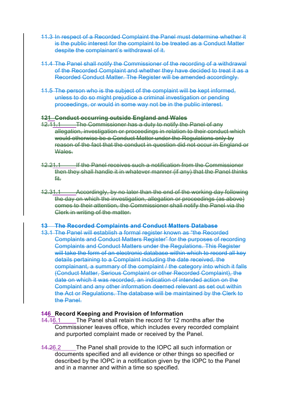- 11.3 In respect of a Recorded Complaint the Panel must determine whether it is the public interest for the complaint to be treated as a Conduct Matter despite the complainant's withdrawal of it.
- 11.4 The Panel shall notify the Commissioner of the recording of a withdrawal of the Recorded Complaint and whether they have decided to treat it as a Recorded Conduct Matter. The Register will be amended accordingly.
- 11.5 The person who is the subject of the complaint will be kept informed, unless to do so might prejudice a criminal investigation or pending proceedings, or would in some way not be in the public interest.

#### **121 Conduct occurring outside England and Wales**

- 12.11.1 The Commissioner has a duty to notify the Panel of any allegation, investigation or proceedings in relation to their conduct which would otherwise be a Conduct Matter under the Regulations only by reason of the fact that the conduct in question did not occur in England or Wales.
- 12.21.1 If the Panel receives such a notification from the Commissioner then they shall handle it in whatever manner (if any) that the Panel thinks fit.
- 12.31.1 Accordingly, by no later than the end of the working day following the day on which the investigation, allegation or proceedings (as above) comes to their attention, the Commissioner shall notify the Panel via the Clerk in writing of the matter.

#### **13 The Recorded Complaints and Conduct Matters Database**

13.1 The Panel will establish a formal register known as "the Recorded Complaints and Conduct Matters Register" for the purposes of recording Complaints and Conduct Matters under the Regulations. This Register will take the form of an electronic database within which to record all key details pertaining to a Complaint including the date received, the complainant, a summary of the complaint / the category into which it falls (Conduct Matter, Serious Complaint or other Recorded Complaint), the date on which it was recorded, an indication of intended action on the Complaint and any other information deemed relevant as set out within the Act or Regulations. The database will be maintained by the Clerk to the Panel.

## **146 Record Keeping and Provision of Information**

- 14.16.1 The Panel shall retain the record for 12 months after the Commissioner leaves office, which includes every recorded complaint and purported complaint made or received by the Panel.
- 14.26.2 The Panel shall provide to the IOPC all such information or documents specified and all evidence or other things so specified or described by the IOPC in a notification given by the IOPC to the Panel and in a manner and within a time so specified.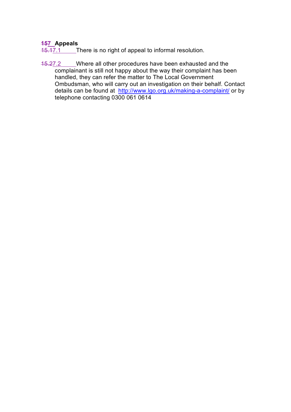# **157 Appeals**

15.17.1 There is no right of appeal to informal resolution.

15.27.2 Where all other procedures have been exhausted and the complainant is still not happy about the way their complaint has been handled, they can refer the matter to The Local Government Ombudsman, who will carry out an investigation on their behalf. Contact details can be found at http://www.lgo.org.uk/making-a-complaint/ or by telephone contacting 0300 061 0614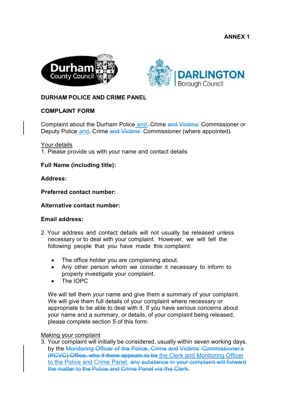**ANNEX 1** 





# **DURHAM POLICE AND CRIME PANEL**

# **COMPLAINT FORM**

Complaint about the Durham Police and–Crime and Victims' Commissioner or Deputy Police and–Crime and Victims' Commissioner (where appointed).

Your details

1. Please provide us with your name and contact details

**Full Name (including title):** 

**Address:** 

**Preferred contact number:** 

#### **Alternative contact number:**

#### **Email address:**

- 2. Your address and contact details will not usually be released unless necessary or to deal with your complaint. However, we will tell the following people that you have made this complaint:
	- The office holder you are complaining about.
	- Any other person whom we consider it necessary to inform to properly investigate your complaint.
	- The IOPC

We will tell them your name and give them a summary of your complaint. We will give them full details of your complaint where necessary or appropriate to be able to deal with it. If you have serious concerns about your name and a summary, or details, of your complaint being released, please complete section 5 of this form.

#### Making your complaint

3. Your complaint will initially be considered, usually within seven working days, by the Monitoring Officer of the Police, Crime and Victims' Commissioner's (PCVC) Office, who if there appears to be the Clerk and Monitoring Officer to the Police and Crime Panel. any substance in your complaint will forward the matter to the Police and Crime Panel via the Clerk.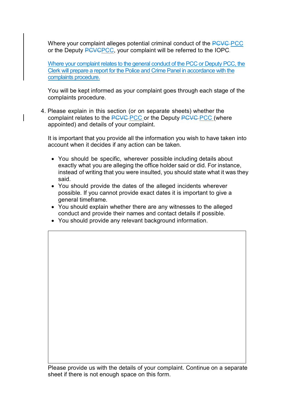Where your complaint alleges potential criminal conduct of the PCVC-PCC or the Deputy PCVCPCC, your complaint will be referred to the IOPC.

Where your complaint relates to the general conduct of the PCC or Deputy PCC, the Clerk will prepare a report for the Police and Crime Panel in accordance with the complaints procedure.

You will be kept informed as your complaint goes through each stage of the complaints procedure.

4. Please explain in this section (or on separate sheets) whether the complaint relates to the PCVC PCC or the Deputy PCVC PCC (where appointed) and details of your complaint.

It is important that you provide all the information you wish to have taken into account when it decides if any action can be taken.

- You should be specific, wherever possible including details about exactly what you are alleging the office holder said or did. For instance, instead of writing that you were insulted, you should state what it was they said.
- You should provide the dates of the alleged incidents wherever possible. If you cannot provide exact dates it is important to give a general timeframe.
- You should explain whether there are any witnesses to the alleged conduct and provide their names and contact details if possible.
- You should provide any relevant background information.

Please provide us with the details of your complaint. Continue on a separate sheet if there is not enough space on this form.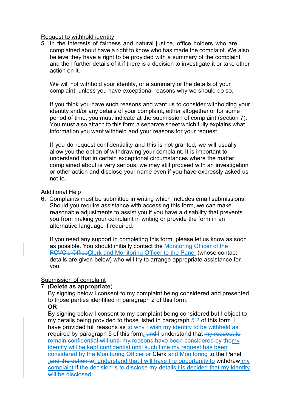#### Request to withhold identity

5. In the interests of fairness and natural justice, office holders who are complained about have a right to know who has made the complaint. We also believe they have a right to be provided with a summary of the complaint and then further details of it if there is a decision to investigate it or take other action on it.

We will not withhold your identity, or a summary or the details of your complaint, unless you have exceptional reasons why we should do so.

If you think you have such reasons and want us to consider withholding your identity and/or any details of your complaint, either altogether or for some period of time, you must indicate at the submission of complaint (section 7). You must also attach to this form a separate sheet which fully explains what information you want withheld and your reasons for your request.

If you do request confidentiality and this is not granted, we will usually allow you the option of withdrawing your complaint. It is important to understand that in certain exceptional circumstances where the matter complained about is very serious, we may still proceed with an investigation or other action and disclose your name even if you have expressly asked us not to.

#### Additional Help

6. Complaints must be submitted in writing which includes email submissions. Should you require assistance with accessing this form, we can make reasonable adjustments to assist you if you have a disability that prevents you from making your complaint in writing or provide the form in an alternative language if required.

If you need any support in completing this form, please let us know as soon as possible. You should initially contact the Monitoring Officer of the PCVC's OfficeClerk and Monitoring Officer to the Panel (whose contact details are given below) who will try to arrange appropriate assistance for you.

## Submission of complaint

## 7. (**Delete as appropriate**)

By signing below I consent to my complaint being considered and presented to those parties identified in paragraph 2 of this form.

**OR**  By signing below I consent to my complaint being considered but I object to my details being provided to those listed in paragraph  $\frac{5}{2}$  of this form. I have provided full reasons as to why I wish my identity to be withheld as required by paragraph 5 of this form. and I understand that my request to remain confidential will until my reasons have been considered by themy identity will be kept confidential until such time my request has been

considered by the Monitoring Officer or Clerk and Monitoring to the Panel .and the option tol understand that I will have the opportunity to withdraw my complaint if the decision is to disclose my detailsit is decided that my identity will be disclosed.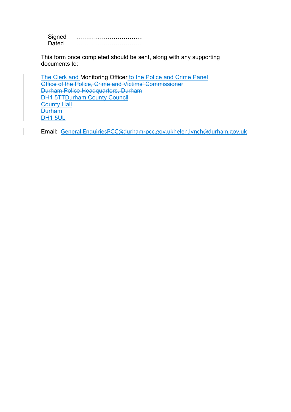Signed ……………………………. Dated …………………………….

This form once completed should be sent, along with any supporting documents to:

The Clerk and Monitoring Officer to the Police and Crime Panel Office of the Police, Crime and Victims' Commissioner Durham Police Headquarters, Durham DH1 5TTDurham County Council County Hall **Durham** DH<sub>1</sub> 5UL

Email: General.EnquiriesPCC@durham-pcc.gov.ukhelen.lynch@durham.gov.uk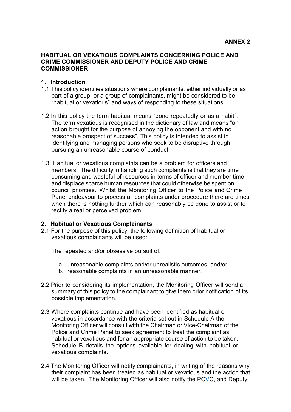#### **HABITUAL OR VEXATIOUS COMPLAINTS CONCERNING POLICE AND CRIME COMMISSIONER AND DEPUTY POLICE AND CRIME COMMISSIONER**

#### **1. Introduction**

- 1.1 This policy identifies situations where complainants, either individually or as part of a group, or a group of complainants, might be considered to be "habitual or vexatious" and ways of responding to these situations.
- 1.2 In this policy the term habitual means "done repeatedly or as a habit". The term vexatious is recognised in the dictionary of law and means "an action brought for the purpose of annoying the opponent and with no reasonable prospect of success". This policy is intended to assist in identifying and managing persons who seek to be disruptive through pursuing an unreasonable course of conduct.
- 1.3 Habitual or vexatious complaints can be a problem for officers and members. The difficulty in handling such complaints is that they are time consuming and wasteful of resources in terms of officer and member time and displace scarce human resources that could otherwise be spent on council priorities. Whilst the Monitoring Officer to the Police and Crime Panel endeavour to process all complaints under procedure there are times when there is nothing further which can reasonably be done to assist or to rectify a real or perceived problem.

#### **2. Habitual or Vexatious Complainants**

2.1 For the purpose of this policy, the following definition of habitual or vexatious complainants will be used:

The repeated and/or obsessive pursuit of:

- a. unreasonable complaints and/or unrealistic outcomes; and/or
- b. reasonable complaints in an unreasonable manner.
- 2.2 Prior to considering its implementation, the Monitoring Officer will send a summary of this policy to the complainant to give them prior notification of its possible implementation.
- 2.3 Where complaints continue and have been identified as habitual or vexatious in accordance with the criteria set out in Schedule A the Monitoring Officer will consult with the Chairman or Vice-Chairman of the Police and Crime Panel to seek agreement to treat the complaint as habitual or vexatious and for an appropriate course of action to be taken. Schedule B details the options available for dealing with habitual or vexatious complaints.
- 2.4 The Monitoring Officer will notify complainants, in writing of the reasons why their complaint has been treated as habitual or vexatious and the action that will be taken. The Monitoring Officer will also notify the PCVC, and Deputy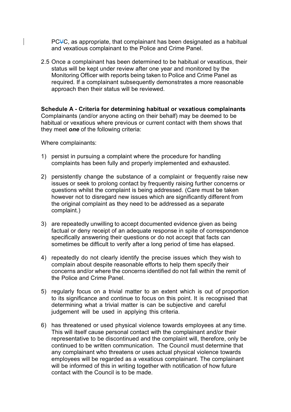PCVC, as appropriate, that complainant has been designated as a habitual and vexatious complainant to the Police and Crime Panel.

2.5 Once a complainant has been determined to be habitual or vexatious, their status will be kept under review after one year and monitored by the Monitoring Officer with reports being taken to Police and Crime Panel as required. If a complainant subsequently demonstrates a more reasonable approach then their status will be reviewed.

**Schedule A - Criteria for determining habitual or vexatious complainants**  Complainants (and/or anyone acting on their behalf) may be deemed to be habitual or vexatious where previous or current contact with them shows that they meet *one* of the following criteria:

Where complainants:

- 1) persist in pursuing a complaint where the procedure for handling complaints has been fully and properly implemented and exhausted.
- 2) persistently change the substance of a complaint or frequently raise new issues or seek to prolong contact by frequently raising further concerns or questions whilst the complaint is being addressed. (Care must be taken however not to disregard new issues which are significantly different from the original complaint as they need to be addressed as a separate complaint.)
- 3) are repeatedly unwilling to accept documented evidence given as being factual or deny receipt of an adequate response in spite of correspondence specifically answering their questions or do not accept that facts can sometimes be difficult to verify after a long period of time has elapsed.
- 4) repeatedly do not clearly identify the precise issues which they wish to complain about despite reasonable efforts to help them specify their concerns and/or where the concerns identified do not fall within the remit of the Police and Crime Panel.
- 5) regularly focus on a trivial matter to an extent which is out of proportion to its significance and continue to focus on this point. It is recognised that determining what a trivial matter is can be subjective and careful judgement will be used in applying this criteria.
- 6) has threatened or used physical violence towards employees at any time. This will itself cause personal contact with the complainant and/or their representative to be discontinued and the complaint will, therefore, only be continued to be written communication. The Council must determine that any complainant who threatens or uses actual physical violence towards employees will be regarded as a vexatious complainant. The complainant will be informed of this in writing together with notification of how future contact with the Council is to be made.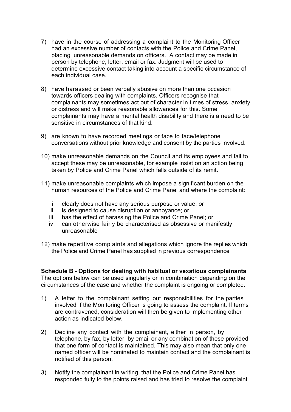- 7) have in the course of addressing a complaint to the Monitoring Officer had an excessive number of contacts with the Police and Crime Panel, placing unreasonable demands on officers. A contact may be made in person by telephone, letter, email or fax. Judgment will be used to determine excessive contact taking into account a specific circumstance of each individual case.
- 8) have harassed or been verbally abusive on more than one occasion towards officers dealing with complaints. Officers recognise that complainants may sometimes act out of character in times of stress, anxiety or distress and will make reasonable allowances for this. Some complainants may have a mental health disability and there is a need to be sensitive in circumstances of that kind.
- 9) are known to have recorded meetings or face to face/telephone conversations without prior knowledge and consent by the parties involved.
- 10) make unreasonable demands on the Council and its employees and fail to accept these may be unreasonable, for example insist on an action being taken by Police and Crime Panel which falls outside of its remit.
- 11) make unreasonable complaints which impose a significant burden on the human resources of the Police and Crime Panel and where the complaint:
	- i. clearly does not have any serious purpose or value; or
	- ii. is designed to cause disruption or annoyance; or
	- iii. has the effect of harassing the Police and Crime Panel; or
	- iv. can otherwise fairly be characterised as obsessive or manifestly unreasonable
- 12) make repetitive complaints and allegations which ignore the replies which the Police and Crime Panel has supplied in previous correspondence

**Schedule B - Options for dealing with habitual or vexatious complainants**  The options below can be used singularly or in combination depending on the circumstances of the case and whether the complaint is ongoing or completed.

- 1) A letter to the complainant setting out responsibilities for the parties involved if the Monitoring Officer is going to assess the complaint. If terms are contravened, consideration will then be given to implementing other action as indicated below.
- 2) Decline any contact with the complainant, either in person, by telephone, by fax, by letter, by email or any combination of these provided that one form of contact is maintained. This may also mean that only one named officer will be nominated to maintain contact and the complainant is notified of this person.
- 3) Notify the complainant in writing, that the Police and Crime Panel has responded fully to the points raised and has tried to resolve the complaint